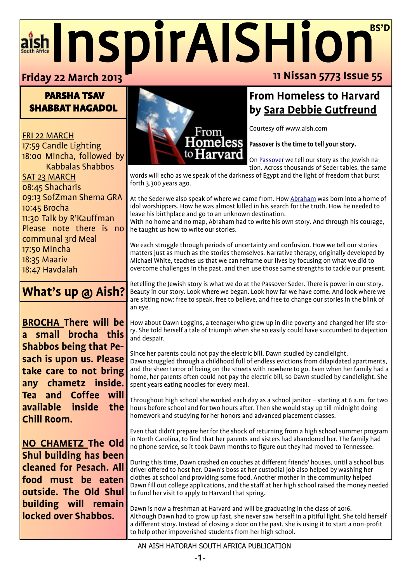## $\overline{\phantom{a}}$  $\overline{\phantom{a}}$ aish InspirAISHion<sup>BS'D</sup> **11 Nissan 5773 Issue 55 Friday 22 March 2013**

## PARSHA TSAV SHABBAT HAGADOL

FRI 22 MARCH 17:59 Candle Lighting 18:00 Mincha, followed by Kabbalas Shabbos SAT 23 MARCH 08:45 Shacharis 09:13 SofZman Shema GRA 10:45 Brocha 11:30 Talk by R'Kauffman Please note there is no communal 3rd Meal 17:50 Mincha 18:35 Maariv 18:47 Havdalah

# **What's up @ Aish?**

**BROCHA There will be a small brocha this Shabbos being that Pesach is upon us. Please take care to not bring any chametz inside. Tea and Coffee will available inside the Chill Room.**

**NO CHAMETZ The Old Shul building has been cleaned for Pesach. All food must be eaten outside. The Old Shul building will remain locked over Shabbos.**



## **From Homeless to Harvard by [Sara Debbie Gutfreund](http://www.aish.com/search/?author=48867522)**

Courtesy off www.aish.com

#### Passover is the time to tell your story.

On [Passover](http://www.aish.com/h/pes/) we tell our story as the Jewish nation. Across thousands of Seder tables, the same

words will echo as we speak of the darkness of Egypt and the light of freedom that burst forth 3,300 years ago.

At the Seder we also speak of where we came from. How [Abraham](http://www.aish.com/jl/h/cc/48930447.html) was born into a home of idol worshippers. How he was almost killed in his search for the truth. How he needed to leave his birthplace and go to an unknown destination.

With no home and no map, Abraham had to write his own story. And through his courage, he taught us how to write our stories.

We each struggle through periods of uncertainty and confusion. How we tell our stories matters just as much as the stories themselves. Narrative therapy, originally developed by Michael White, teaches us that we can reframe our lives by focusing on what we did to overcome challenges in the past, and then use those same strengths to tackle our present.

Retelling the Jewish story is what we do at the Passover Seder. There is power in our story. Beauty in our story. Look where we began. Look how far we have come. And look where we are sitting now: free to speak, free to believe, and free to change our stories in the blink of an eye.

How about Dawn Loggins, a teenager who grew up in dire poverty and changed her life story. She told herself a tale of triumph when she so easily could have succumbed to dejection and despair.

Since her parents could not pay the electric bill, Dawn studied by candlelight. Dawn struggled through a childhood full of endless evictions from dilapidated apartments, and the sheer terror of being on the streets with nowhere to go. Even when her family had a home, her parents often could not pay the electric bill, so Dawn studied by candlelight. She spent years eating noodles for every meal.

Throughout high school she worked each day as a school janitor – starting at 6 a.m. for two hours before school and for two hours after. Then she would stay up till midnight doing homework and studying for her honors and advanced placement classes.

Even that didn't prepare her for the shock of returning from a high school summer program in North Carolina, to find that her parents and sisters had abandoned her. The family had no phone service, so it took Dawn months to figure out they had moved to Tennessee.

During this time, Dawn crashed on couches at different friends' houses, until a school bus driver offered to host her. Dawn's boss at her custodial job also helped by washing her clothes at school and providing some food. Another mother in the community helped Dawn fill out college applications, and the staff at her high school raised the money needed to fund her visit to apply to Harvard that spring.

Dawn is now a freshman at Harvard and will be graduating in the class of 2016. Although Dawn had to grow up fast, she never saw herself in a pitiful light. She told herself a different story. Instead of closing a door on the past, she is using it to start a non-profit to help other impoverished students from her high school.

#### AN AISH HATORAH SOUTH AFRICA PUBLICATION